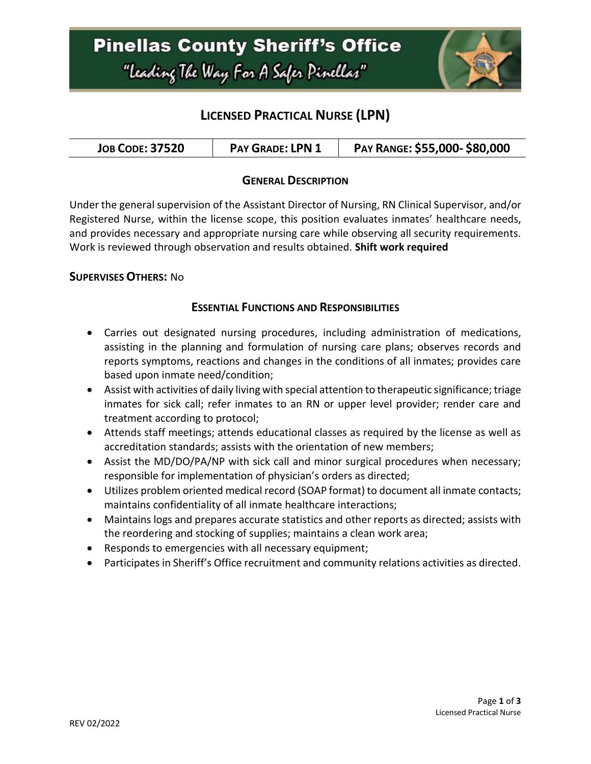

## **LICENSED PRACTICAL NURSE (LPN)**

| <b>JOB CODE: 37520</b> | <b>PAY GRADE: LPN</b> | PAY RANGE: \$55,000-\$80,000 |
|------------------------|-----------------------|------------------------------|
|------------------------|-----------------------|------------------------------|

### **GENERAL DESCRIPTION**

Under the general supervision of the Assistant Director of Nursing, RN Clinical Supervisor, and/or Registered Nurse, within the license scope, this position evaluates inmates' healthcare needs, and provides necessary and appropriate nursing care while observing all security requirements. Work is reviewed through observation and results obtained. **Shift work required**

### **SUPERVISES OTHERS:** No

#### **ESSENTIAL FUNCTIONS AND RESPONSIBILITIES**

- Carries out designated nursing procedures, including administration of medications, assisting in the planning and formulation of nursing care plans; observes records and reports symptoms, reactions and changes in the conditions of all inmates; provides care based upon inmate need/condition;
- Assist with activities of daily living with special attention to therapeutic significance; triage inmates for sick call; refer inmates to an RN or upper level provider; render care and treatment according to protocol;
- Attends staff meetings; attends educational classes as required by the license as well as accreditation standards; assists with the orientation of new members;
- Assist the MD/DO/PA/NP with sick call and minor surgical procedures when necessary; responsible for implementation of physician's orders as directed;
- Utilizes problem oriented medical record (SOAP format) to document all inmate contacts; maintains confidentiality of all inmate healthcare interactions;
- Maintains logs and prepares accurate statistics and other reports as directed; assists with the reordering and stocking of supplies; maintains a clean work area;
- Responds to emergencies with all necessary equipment;
- Participates in Sheriff's Office recruitment and community relations activities as directed.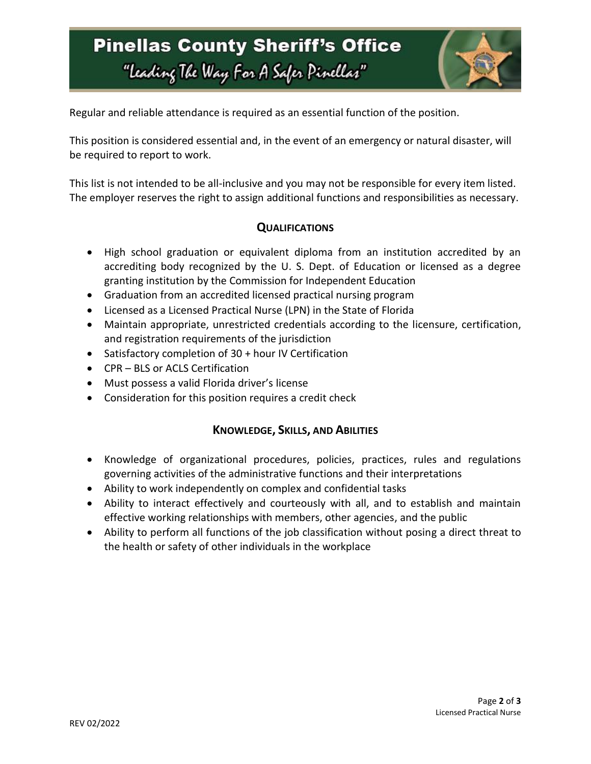# **Pinellas County Sheriff's Office** "Leading The Way For A Safer Pinellar"



Regular and reliable attendance is required as an essential function of the position.

This position is considered essential and, in the event of an emergency or natural disaster, will be required to report to work.

This list is not intended to be all-inclusive and you may not be responsible for every item listed. The employer reserves the right to assign additional functions and responsibilities as necessary.

#### **QUALIFICATIONS**

- High school graduation or equivalent diploma from an institution accredited by an accrediting body recognized by the U. S. Dept. of Education or licensed as a degree granting institution by the Commission for Independent Education
- Graduation from an accredited licensed practical nursing program
- Licensed as a Licensed Practical Nurse (LPN) in the State of Florida
- Maintain appropriate, unrestricted credentials according to the licensure, certification, and registration requirements of the jurisdiction
- Satisfactory completion of 30 + hour IV Certification
- CPR BLS or ACLS Certification
- Must possess a valid Florida driver's license
- Consideration for this position requires a credit check

### **KNOWLEDGE, SKILLS, AND ABILITIES**

- Knowledge of organizational procedures, policies, practices, rules and regulations governing activities of the administrative functions and their interpretations
- Ability to work independently on complex and confidential tasks
- Ability to interact effectively and courteously with all, and to establish and maintain effective working relationships with members, other agencies, and the public
- Ability to perform all functions of the job classification without posing a direct threat to the health or safety of other individuals in the workplace